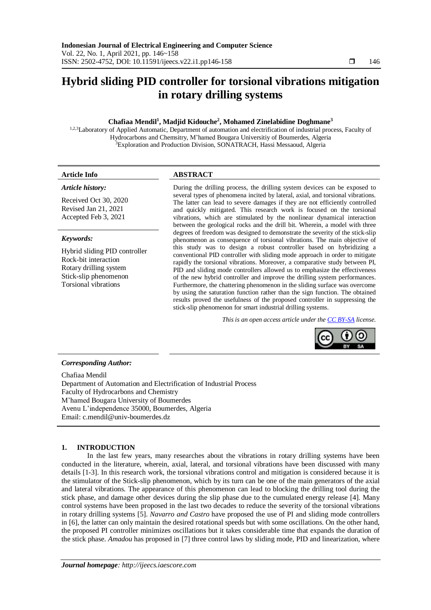# **Hybrid sliding PID controller for torsional vibrations mitigation in rotary drilling systems**

# **Chafiaa Mendil<sup>1</sup> , Madjid Kidouche<sup>2</sup> , Mohamed Zinelabidine Doghmane<sup>3</sup>**

1,2,3Laboratory of Applied Automatic, Department of automation and electrification of industrial process, Faculty of Hydrocarbons and Chemsitry, M'hamed Bougara Universitiy of Boumerdes, Algeria <sup>3</sup>Exploration and Production Division, SONATRACH, Hassi Messaoud, Algeria

#### *Article history:*

Received Oct 30, 2020 Revised Jan 21, 2021 Accepted Feb 3, 2021

## *Keywords:*

Hybrid sliding PID controller Rock-bit interaction Rotary drilling system Stick-slip phenomenon Torsional vibrations

# **Article Info ABSTRACT**

During the drilling process, the drilling system devices can be exposed to several types of phenomena incited by lateral, axial, and torsional vibrations. The latter can lead to severe damages if they are not efficiently controlled and quickly mitigated. This research work is focused on the torsional vibrations, which are stimulated by the nonlinear dynamical interaction between the geological rocks and the drill bit. Wherein, a model with three degrees of freedom was designed to demonstrate the severity of the stick-slip phenomenon as consequence of torsional vibrations. The main objective of this study was to design a robust controller based on hybridizing a conventional PID controller with sliding mode approach in order to mitigate rapidly the torsional vibrations. Moreover, a comparative study between PI, PID and sliding mode controllers allowed us to emphasize the effectiveness of the new hybrid controller and improve the drilling system performances. Furthermore, the chattering phenomenon in the sliding surface was overcome by using the saturation function rather than the sign function. The obtained results proved the usefulness of the proposed controller in suppressing the stick-slip phenomenon for smart industrial drilling systems.

*This is an open access article under the CC [BY-SA](https://creativecommons.org/licenses/by-sa/4.0/) license.*



# *Corresponding Author:*

Chafiaa Mendil Department of Automation and Electrification of Industrial Process Faculty of Hydrocarbons and Chemistry M'hamed Bougara University of Boumerdes Avenu L'independence 35000, Boumerdes, Algeria Email: c.mendil@univ-boumerdes.dz

# **1. INTRODUCTION**

In the last few years, many researches about the vibrations in rotary drilling systems have been conducted in the literature, wherein, axial, lateral, and torsional vibrations have been discussed with many details [1-3]. In this research work, the torsional vibrations control and mitigation is considered because it is the stimulator of the Stick-slip phenomenon, which by its turn can be one of the main generators of the axial and lateral vibrations. The appearance of this phenomenon can lead to blocking the drilling tool during the stick phase, and damage other devices during the slip phase due to the cumulated energy release [4]. Many control systems have been proposed in the last two decades to reduce the severity of the torsional vibrations in rotary drilling systems [5]. *Navarro and Castro* have proposed the use of PI and sliding mode controllers in [6], the latter can only maintain the desired rotational speeds but with some oscillations. On the other hand, the proposed PI controller minimizes oscillations but it takes considerable time that expands the duration of the stick phase. *Amadou* has proposed in [7] three control laws by sliding mode, PID and linearization, where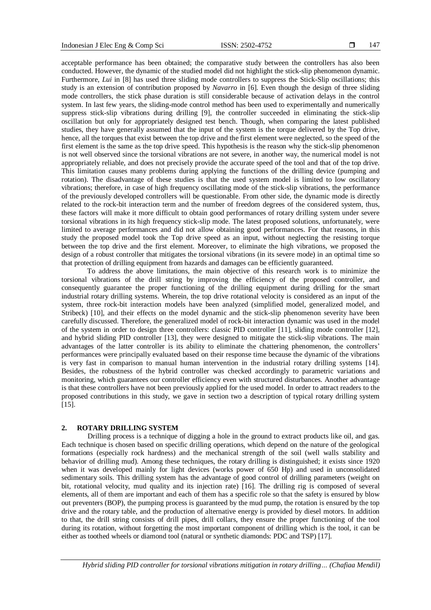acceptable performance has been obtained; the comparative study between the controllers has also been conducted. However, the dynamic of the studied model did not highlight the stick-slip phenomenon dynamic. Furthermore, *Lui* in [8] has used three sliding mode controllers to suppress the Stick-Slip oscillations; this study is an extension of contribution proposed by *Navarro* in [6]. Even though the design of three sliding mode controllers, the stick phase duration is still considerable because of activation delays in the control system. In last few years, the sliding-mode control method has been used to experimentally and numerically suppress stick-slip vibrations during drilling [9], the controller succeeded in eliminating the stick-slip oscillation but only for appropriately designed test bench. Though, when comparing the latest published studies, they have generally assumed that the input of the system is the torque delivered by the Top drive, hence, all the torques that exist between the top drive and the first element were neglected, so the speed of the first element is the same as the top drive speed. This hypothesis is the reason why the stick-slip phenomenon is not well observed since the torsional vibrations are not severe, in another way, the numerical model is not appropriately reliable, and does not precisely provide the accurate speed of the tool and that of the top drive. This limitation causes many problems during applying the functions of the drilling device (pumping and rotation). The disadvantage of these studies is that the used system model is limited to low oscillatory vibrations; therefore, in case of high frequency oscillating mode of the stick-slip vibrations, the performance of the previously developed controllers will be questionable. From other side, the dynamic mode is directly related to the rock-bit interaction term and the number of freedom degrees of the considered system, thus, these factors will make it more difficult to obtain good performances of rotary drilling system under severe torsional vibrations in its high frequency stick-slip mode. The latest proposed solutions, unfortunately, were limited to average performances and did not allow obtaining good performances. For that reasons, in this study the proposed model took the Top drive speed as an input, without neglecting the resisting torque between the top drive and the first element. Moreover, to eliminate the high vibrations, we proposed the design of a robust controller that mitigates the torsional vibrations (in its severe mode) in an optimal time so that protection of drilling equipment from hazards and damages can be efficiently guaranteed.

To address the above limitations, the main objective of this research work is to minimize the torsional vibrations of the drill string by improving the efficiency of the proposed controller, and consequently guarantee the proper functioning of the drilling equipment during drilling for the smart industrial rotary drilling systems. Wherein, the top drive rotational velocity is considered as an input of the system, three rock-bit interaction models have been analyzed (simplified model, generalized model, and Stribeck) [10], and their effects on the model dynamic and the stick-slip phenomenon severity have been carefully discussed. Therefore, the generalized model of rock-bit interaction dynamic was used in the model of the system in order to design three controllers: classic PID controller [11], sliding mode controller [12], and hybrid sliding PID controller [13], they were designed to mitigate the stick-slip vibrations. The main advantages of the latter controller is its ability to eliminate the chattering phenomenon, the controllers' performances were principally evaluated based on their response time because the dynamic of the vibrations is very fast in comparison to manual human intervention in the industrial rotary drilling systems [14]. Besides, the robustness of the hybrid controller was checked accordingly to parametric variations and monitoring, which guarantees our controller efficiency even with structured disturbances. Another advantage is that these controllers have not been previously applied for the used model. In order to attract readers to the proposed contributions in this study, we gave in section two a description of typical rotary drilling system [15].

#### **2. ROTARY DRILLING SYSTEM**

Drilling process is a technique of digging a hole in the ground to extract products like oil, and gas. Each technique is chosen based on specific drilling operations, which depend on the nature of the geological formations (especially rock hardness) and the mechanical strength of the soil (well walls stability and behavior of drilling mud). Among these techniques, the rotary drilling is distinguished; it exists since 1920 when it was developed mainly for light devices (works power of 650 Hp) and used in unconsolidated sedimentary soils. This drilling system has the advantage of good control of drilling parameters (weight on bit, rotational velocity, mud quality and its injection rate) [16]. The drilling rig is composed of several elements, all of them are important and each of them has a specific role so that the safety is ensured by blow out preventers (BOP), the pumping process is guaranteed by the mud pump, the rotation is ensured by the top drive and the rotary table, and the production of alternative energy is provided by diesel motors. In addition to that, the drill string consists of drill pipes, drill collars, they ensure the proper functioning of the tool during its rotation, without forgetting the most important component of drilling which is the tool, it can be either as toothed wheels or diamond tool (natural or synthetic diamonds: PDC and TSP) [17].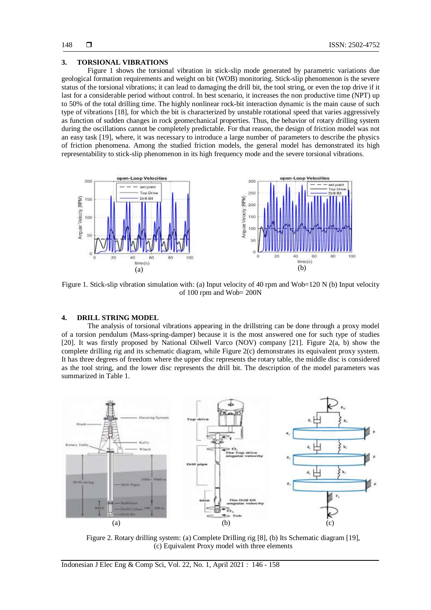#### **3. TORSIONAL VIBRATIONS**

Figure 1 shows the torsional vibration in stick-slip mode generated by parametric variations due geological formation requirements and weight on bit (WOB) monitoring. Stick-slip phenomenon is the severe status of the torsional vibrations; it can lead to damaging the drill bit, the tool string, or even the top drive if it last for a considerable period without control. In best scenario, it increases the non productive time (NPT) up to 50% of the total drilling time. The highly nonlinear rock-bit interaction dynamic is the main cause of such type of vibrations [18], for which the bit is characterized by unstable rotational speed that varies aggressively as function of sudden changes in rock geomechanical properties. Thus, the behavior of rotary drilling system during the oscillations cannot be completely predictable. For that reason, the design of friction model was not an easy task [19], where, it was necessary to introduce a large number of parameters to describe the physics of friction phenomena. Among the studied friction models, the general model has demonstrated its high representability to stick-slip phenomenon in its high frequency mode and the severe torsional vibrations.



Figure 1. Stick-slip vibration simulation with: (a) Input velocity of 40 rpm and Wob=120 N (b) Input velocity of 100 rpm and Wob= 200N

# **4. DRILL STRING MODEL**

The analysis of torsional vibrations appearing in the drillstring can be done through a proxy model of a torsion pendulum (Mass-spring-damper) because it is the most answered one for such type of studies [20]. It was firstly proposed by National Oilwell Varco (NOV) company [21]. Figure 2(a, b) show the complete drilling rig and its schematic diagram, while Figure 2(c) demonstrates its equivalent proxy system. It has three degrees of freedom where the upper disc represents the rotary table, the middle disc is considered as the tool string, and the lower disc represents the drill bit. The description of the model parameters was summarized in Table 1.



Figure 2. Rotary drilling system: (a) Complete Drilling rig [8], (b) Its Schematic diagram [19], (c) Equivalent Proxy model with three elements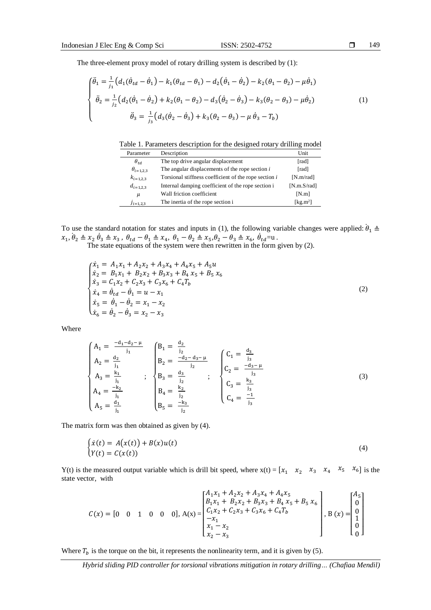The three-element proxy model of rotary drilling system is described by (1):

$$
\begin{cases}\n\ddot{\theta}_{1} = \frac{1}{j_{1}}\left(d_{1}(\dot{\theta}_{td} - \dot{\theta}_{1}) - k_{1}(\theta_{td} - \theta_{1}) - d_{2}(\dot{\theta}_{1} - \dot{\theta}_{2}) - k_{2}(\theta_{1} - \theta_{2}) - \mu\dot{\theta}_{1}\right) \\
\ddot{\theta}_{2} = \frac{1}{j_{2}}\left(d_{2}(\dot{\theta}_{1} - \dot{\theta}_{2}) + k_{2}(\theta_{1} - \theta_{2}) - d_{3}(\dot{\theta}_{2} - \dot{\theta}_{3}) - k_{3}(\theta_{2} - \theta_{3}) - \mu\dot{\theta}_{2}\right) \\
\ddot{\theta}_{3} = \frac{1}{j_{3}}\left(d_{3}(\dot{\theta}_{2} - \dot{\theta}_{3}) + k_{3}(\theta_{2} - \theta_{3}) - \mu\dot{\theta}_{3} - T_{b}\right)\n\end{cases} (1)
$$

| Table 1. Parameters description for the designed rotary drilling model |  |  |
|------------------------------------------------------------------------|--|--|
|                                                                        |  |  |

| Parameter          | Description                                           | Unit                          |
|--------------------|-------------------------------------------------------|-------------------------------|
| $\theta_{td}$      | The top drive angular displacement                    | [rad]                         |
| $\theta_{i=1,2,3}$ | The angular displacements of the rope section i       | [rad]                         |
| $k_{i=1,2,3}$      | Torsional stiffness coefficient of the rope section i | [N.m/rad]                     |
| $d_{i=1,2,3}$      | Internal damping coefficient of the rope section i    | [N.m.S/rad]                   |
| $\mu$              | Wall friction coefficient                             | [N.m]                         |
| $J_{i=1,2,3}$      | The inertia of the rope section i                     | $\lceil \text{kg.m}^2 \rceil$ |

To use the standard notation for states and inputs in (1), the following variable changes were applied:  $\dot{\theta}_1 \triangleq$  $x_1, \dot{\theta}_2 \triangleq x_2 \dot{\theta}_3 \triangleq x_3$ ,  $\theta_{td} - \theta_1 \triangleq x_4$ ,  $\theta_1 - \theta_2 \triangleq x_5$ ,  $\theta_2 - \theta_3 \triangleq x_6$ ,  $\dot{\theta}_{td}$ =u.

The state equations of the system were then rewritten in the form given by (2).

$$
\begin{cases}\n\dot{x}_1 = A_1 x_1 + A_2 x_2 + A_3 x_4 + A_4 x_5 + A_5 u \\
\dot{x}_2 = B_1 x_1 + B_2 x_2 + B_3 x_3 + B_4 x_5 + B_5 x_6 \\
\dot{x}_3 = C_1 x_2 + C_2 x_3 + C_3 x_6 + C_4 T_b \\
\dot{x}_4 = \dot{\theta}_{td} - \dot{\theta}_1 = u - x_1 \\
\dot{x}_5 = \dot{\theta}_1 - \dot{\theta}_2 = x_1 - x_2 \\
\dot{x}_6 = \dot{\theta}_2 - \dot{\theta}_3 = x_2 - x_3\n\end{cases}
$$
\n(2)

Where

$$
\begin{cases}\nA_1 = \frac{-d_1 - d_2 - \mu}{j_1} & B_1 = \frac{d_2}{j_2} \\
A_2 = \frac{d_2}{j_1} & B_2 = \frac{-d_2 - d_3 - \mu}{j_2} \\
A_3 = \frac{k_1}{j_1} & ; \quad B_3 = \frac{d_3}{j_2} \\
A_4 = \frac{-k_2}{j_1} & B_4 = \frac{k_2}{j_2} \\
A_5 = \frac{d_1}{j_1} & B_5 = \frac{-k_3}{j_2}\n\end{cases}
$$
\n(3)

The matrix form was then obtained as given by (4).

$$
\begin{cases}\n\dot{x}(t) = A(x(t)) + B(x)u(t) \\
Y(t) = C(x(t))\n\end{cases} (4)
$$

Y(t) is the measured output variable which is drill bit speed, where  $x(t) = \begin{bmatrix} x_1 & x_2 & x_3 & x_4 & x_5 & x_6 \end{bmatrix}$  is the state vector, with

$$
C(x) = \begin{bmatrix} 0 & 0 & 1 & 0 & 0 & 0 \end{bmatrix}, A(x) = \begin{bmatrix} A_1x_1 + A_2x_2 + A_3x_4 + A_4x_5 \\ B_1x_1 + B_2x_2 + B_3x_3 + B_4x_5 + B_5x_6 \\ C_1x_2 + C_2x_3 + C_3x_6 + C_4T_b \\ -x_1 \\ x_1 - x_2 \\ x_2 - x_3 \end{bmatrix}, B(x) = \begin{bmatrix} A_5 \\ 0 \\ 0 \\ 1 \\ 0 \\ 0 \end{bmatrix}
$$

Where  $T_b$  is the torque on the bit, it represents the nonlinearity term, and it is given by (5).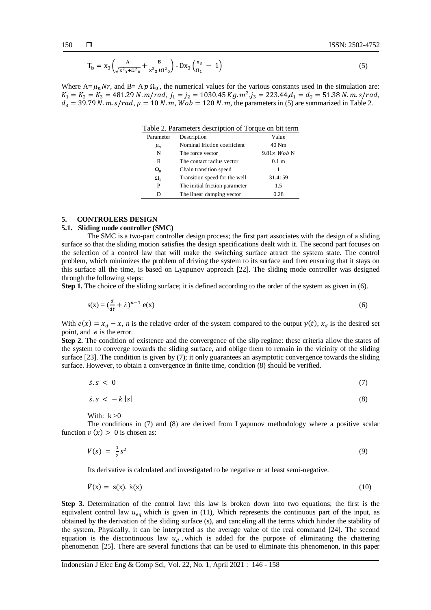$$
T_b = x_3 \left( \frac{A}{\sqrt{x^2 + 0^2}} + \frac{B}{x^2 + 0^2} \right) - Dx_3 \left( \frac{x_3}{0_1} - 1 \right) \tag{5}
$$

Where  $A = \mu_n N r$ , and  $B = A p \Omega_0$ , the numerical values for the various constants used in the simulation are:  $K_1 = K_2 = K_3 = 481.29 \text{ N} \cdot m/rad, j_1 = j_2 = 1030.45 \text{ kg} \cdot m^2, j_3 = 223.44, d_1 = d_2 = 51.38 \text{ N} \cdot m \cdot s/rad,$  $d_3 = 39.79 N \cdot m \cdot s / rad$ ,  $\mu = 10 N \cdot m$ ,  $Wob = 120 N \cdot m$ , the parameters in (5) are summarized in Table 2.

Table 2. Parameters description of Torque on bit term

| Parameter    | Description                    | Value              |
|--------------|--------------------------------|--------------------|
| $\mu_n$      | Nominal friction coefficient   | 40 Nm              |
| N            | The force vector               | $9.81\times Wob$ N |
| R            | The contact radius vector      | 0.1 <sub>m</sub>   |
| $\Omega_0$   | Chain transition speed         |                    |
| $\Omega_{1}$ | Transition speed for the well  | 31.4159            |
| P            | The initial friction parameter | 1.5                |
| D            | The linear damping vector      | 0.28               |

## **5. CONTROLERS DESIGN**

#### **5.1. Sliding mode controller (SMC)**

The SMC is a two-part controller design process; the first part associates with the design of a sliding surface so that the sliding motion satisfies the design specifications dealt with it. The second part focuses on the selection of a control law that will make the switching surface attract the system state. The control problem, which minimizes the problem of driving the system to its surface and then ensuring that it stays on this surface all the time, is based on Lyapunov approach [22]. The sliding mode controller was designed through the following steps:

**Step 1.** The choice of the sliding surface; it is defined according to the order of the system as given in (6).

$$
s(x) = \left(\frac{d}{dt} + \lambda\right)^{n-1} e(x) \tag{6}
$$

With  $e(x) = x_d - x$ , *n* is the relative order of the system compared to the output  $y(t)$ ,  $x_d$  is the desired set point, and  $e$  is the error.

**Step 2.** The condition of existence and the convergence of the slip regime: these criteria allow the states of the system to converge towards the sliding surface, and oblige them to remain in the vicinity of the sliding surface [23]. The condition is given by (7); it only guarantees an asymptotic convergence towards the sliding surface. However, to obtain a convergence in finite time, condition (8) should be verified.

$$
\dot{s}.s < 0 \tag{7}
$$

$$
\dot{s} \cdot s < -k \left| s \right| \tag{8}
$$

With:  $k > 0$ 

The conditions in (7) and (8) are derived from Lyapunov methodology where a positive scalar function  $v(x) > 0$  is chosen as:

$$
V(s) = \frac{1}{2}s^2 \tag{9}
$$

Its derivative is calculated and investigated to be negative or at least semi-negative.

$$
\dot{V}(x) = s(x). \dot{s}(x) \tag{10}
$$

**Step 3.** Determination of the control law: this law is broken down into two equations; the first is the equivalent control law  $u_{eq}$  which is given in (11), Which represents the continuous part of the input, as obtained by the derivation of the sliding surface (s), and canceling all the terms which hinder the stability of the system, Physically, it can be interpreted as the average value of the real command [24]. The second equation is the discontinuous law  $u_d$ , which is added for the purpose of eliminating the chattering phenomenon [25]. There are several functions that can be used to eliminate this phenomenon, in this paper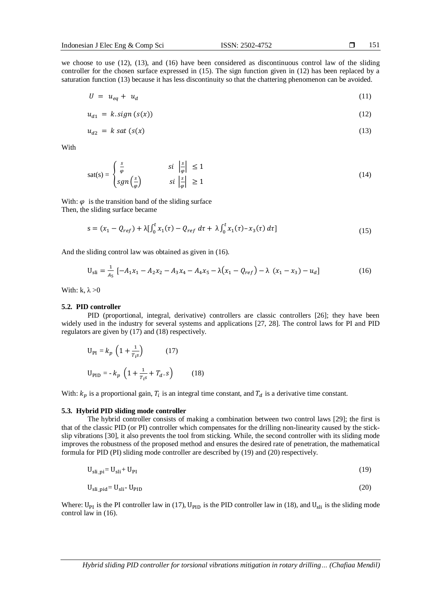151

we choose to use (12), (13), and (16) have been considered as discontinuous control law of the sliding controller for the chosen surface expressed in (15). The sign function given in (12) has been replaced by a saturation function (13) because it has less discontinuity so that the chattering phenomenon can be avoided.

$$
U = u_{eq} + u_d \tag{11}
$$

$$
u_{d1} = k \, sign\left(s(x)\right) \tag{12}
$$

$$
u_{d2} = k \text{ sat } (s(x) \tag{13}
$$

With

$$
\text{sat(s)} = \begin{cases} \frac{s}{\varphi} & \text{si } \left| \frac{s}{\varphi} \right| \le 1\\ \text{sgn}\left(\frac{s}{\varphi}\right) & \text{si } \left| \frac{s}{\varphi} \right| \ge 1 \end{cases} \tag{14}
$$

With:  $\varphi$  is the transition band of the sliding surface Then, the sliding surface became

$$
s = (x_1 - Q_{ref}) + \lambda \left[ \int_0^t x_1(\tau) - Q_{ref} d\tau + \lambda \int_0^t x_1(\tau) - x_3(\tau) d\tau \right]
$$
\n(15)

And the sliding control law was obtained as given in (16).

$$
U_{\text{sli}} = \frac{1}{A_5} \left[ -A_1 x_1 - A_2 x_2 - A_3 x_4 - A_4 x_5 - \lambda (x_1 - Q_{\text{ref}}) - \lambda (x_1 - x_3) - u_d \right]
$$
(16)

With: k,  $\lambda > 0$ 

#### **5.2. PID controller**

PID (proportional, integral, derivative) controllers are classic controllers [26]; they have been widely used in the industry for several systems and applications [27, 28]. The control laws for PI and PID regulators are given by (17) and (18) respectively.

$$
U_{PI} = k_p \left( 1 + \frac{1}{T_{i}s} \right) \qquad (17)
$$
  

$$
U_{PID} = -k_p \left( 1 + \frac{1}{T_{i}s} + T_d \cdot s \right) \qquad (18)
$$

With:  $k_p$  is a proportional gain,  $T_i$  is an integral time constant, and  $T_d$  is a derivative time constant.

# **5.3. Hybrid PID sliding mode controller**

The hybrid controller consists of making a combination between two control laws [29]; the first is that of the classic PID (or PI) controller which compensates for the drilling non-linearity caused by the stickslip vibrations [30], it also prevents the tool from sticking. While, the second controller with its sliding mode improves the robustness of the proposed method and ensures the desired rate of penetration, the mathematical formula for PID (PI) sliding mode controller are described by (19) and (20) respectively.

$$
U_{\text{sli}} = U_{\text{sli}} + U_{\text{PI}} \tag{19}
$$

$$
U_{\text{sli\_pid}} = U_{\text{sli}} - U_{\text{PID}} \tag{20}
$$

Where:  $U_{PI}$  is the PI controller law in (17),  $U_{PID}$  is the PID controller law in (18), and  $U_{Sli}$  is the sliding mode control law in (16).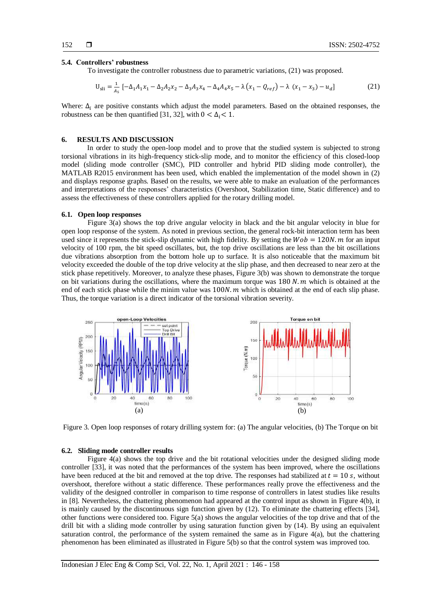#### **5.4. Controllers' robustness**

To investigate the controller robustness due to parametric variations, (21) was proposed.

$$
U_{sli} = \frac{1}{A_s} \left[ -\Delta_1 A_1 x_1 - \Delta_2 A_2 x_2 - \Delta_3 A_3 x_4 - \Delta_4 A_4 x_5 - \lambda \left( x_1 - Q_{ref} \right) - \lambda \left( x_1 - x_3 \right) - u_d \right] \tag{21}
$$

Where:  $\Delta_i$  are positive constants which adjust the model parameters. Based on the obtained responses, the robustness can be then quantified [31, 32], with  $0 < \Delta_i < 1$ .

#### **6. RESULTS AND DISCUSSION**

In order to study the open-loop model and to prove that the studied system is subjected to strong torsional vibrations in its high-frequency stick-slip mode, and to monitor the efficiency of this closed-loop model (sliding mode controller (SMC), PID controller and hybrid PID sliding mode controller), the MATLAB R2015 environment has been used, which enabled the implementation of the model shown in (2) and displays response graphs. Based on the results, we were able to make an evaluation of the performances and interpretations of the responses' characteristics (Overshoot, Stabilization time, Static difference) and to assess the effectiveness of these controllers applied for the rotary drilling model.

#### **6.1. Open loop responses**

Figure 3(a) shows the top drive angular velocity in black and the bit angular velocity in blue for open loop response of the system. As noted in previous section, the general rock-bit interaction term has been used since it represents the stick-slip dynamic with high fidelity. By setting the  $Wob = 120N$ . *m* for an input velocity of 100 rpm, the bit speed oscillates, but, the top drive oscillations are less than the bit oscillations due vibrations absorption from the bottom hole up to surface. It is also noticeable that the maximum bit velocity exceeded the double of the top drive velocity at the slip phase, and then decreased to near zero at the stick phase repetitively. Moreover, to analyze these phases, Figure 3(b) was shown to demonstrate the torque on bit variations during the oscillations, where the maximum torque was  $180 N$ . *m* which is obtained at the end of each stick phase while the minim value was  $100N$ , m which is obtained at the end of each slip phase. Thus, the torque variation is a direct indicator of the torsional vibration severity.



Figure 3. Open loop responses of rotary drilling system for: (a) The angular velocities, (b) The Torque on bit

#### **6.2. Sliding mode controller results**

Figure 4(a) shows the top drive and the bit rotational velocities under the designed sliding mode controller [33], it was noted that the performances of the system has been improved, where the oscillations have been reduced at the bit and removed at the top drive. The responses had stabilized at  $t = 10$  s, without overshoot, therefore without a static difference. These performances really prove the effectiveness and the validity of the designed controller in comparison to time response of controllers in latest studies like results in [8]. Nevertheless, the chattering phenomenon had appeared at the control input as shown in Figure 4(b), it is mainly caused by the discontinuous sign function given by (12). To eliminate the chattering effects [34], other functions were considered too. Figure 5(a) shows the angular velocities of the top drive and that of the drill bit with a sliding mode controller by using saturation function given by (14). By using an equivalent saturation control, the performance of the system remained the same as in Figure  $4(a)$ , but the chattering phenomenon has been eliminated as illustrated in Figure 5(b) so that the control system was improved too.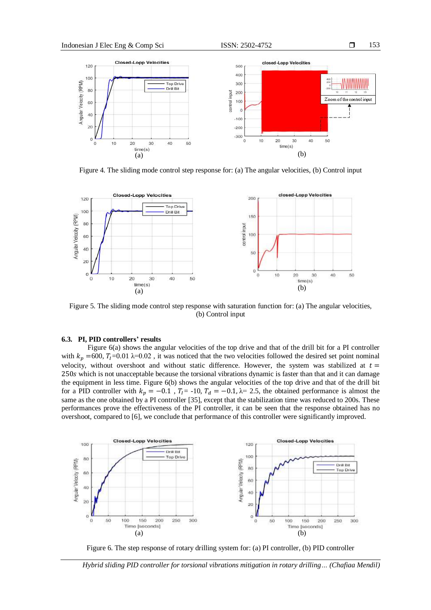

Figure 4. The sliding mode control step response for: (a) The angular velocities, (b) Control input



Figure 5. The sliding mode control step response with saturation function for: (a) The angular velocities, (b) Control input

#### **6.3. PI, PID controllers' results**

Figure 6(a) shows the angular velocities of the top drive and that of the drill bit for a PI controller with  $k_p = 600$ ,  $T_l = 0.01$   $\lambda = 0.02$ , it was noticed that the two velocities followed the desired set point nominal velocity, without overshoot and without static difference. However, the system was stabilized at  $t =$ 250s which is not unacceptable because the torsional vibrations dynamic is faster than that and it can damage the equipment in less time. Figure 6(b) shows the angular velocities of the top drive and that of the drill bit for a PID controller with  $k_p = -0.1$ ,  $T_l = -10$ ,  $T_d = -0.1$ ,  $\lambda = 2.5$ , the obtained performance is almost the same as the one obtained by a PI controller [35], except that the stabilization time was reduced to 200s. These performances prove the effectiveness of the PI controller, it can be seen that the response obtained has no overshoot, compared to [6], we conclude that performance of this controller were significantly improved.



Figure 6. The step response of rotary drilling system for: (a) PI controller, (b) PID controller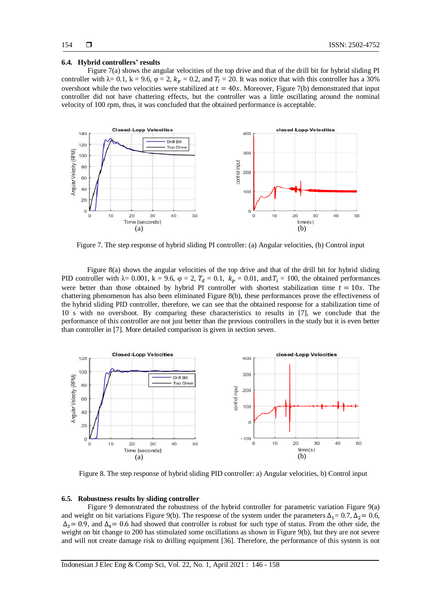#### **6.4. Hybrid controllers' results**

Figure 7(a) shows the angular velocities of the top drive and that of the drill bit for hybrid sliding PI controller with  $\lambda = 0.1$ ,  $k = 9.6$ ,  $\varphi = 2$ ,  $k_p = 0.2$ , and  $T_1 = 20$ . It was notice that with this controller has a 30% overshoot while the two velocities were stabilized at  $t = 40s$ . Moreover, Figure 7(b) demonstrated that input controller did not have chattering effects, but the controller was a little oscillating around the nominal velocity of 100 rpm, thus, it was concluded that the obtained performance is acceptable.



Figure 7. The step response of hybrid sliding PI controller: (a) Angular velocities, (b) Control input

Figure 8(a) shows the angular velocities of the top drive and that of the drill bit for hybrid sliding PID controller with  $\lambda = 0.001$ ,  $k = 9.6$ ,  $\varphi = 2$ ,  $T_d = 0.1$ ,  $k_p = 0.01$ , and  $T_i = 100$ , the obtained performances were better than those obtained by hybrid PI controller with shortest stabilization time  $t = 10s$ . The chattering phenomenon has also been eliminated Figure 8(b), these performances prove the effectiveness of the hybrid sliding PID controller, therefore, we can see that the obtained response for a stabilization time of 10 s with no overshoot. By comparing these characteristics to results in [7], we conclude that the performance of this controller are not just better than the previous controllers in the study but it is even better than controller in [7]. More detailed comparison is given in section seven.



Figure 8. The step response of hybrid sliding PID controller: a) Angular velocities, b) Control input

#### **6.5. Robustness results by sliding controller**

Figure 9 demonstrated the robustness of the hybrid controller for parametric variation Figure 9(a) and weight on bit variations Figure 9(b). The response of the system under the parameters  $\Delta_1= 0.7$ ,  $\Delta_2= 0.6$ ,  $\Delta_3$  = 0.9, and  $\Delta_4$  = 0.6 had showed that controller is robust for such type of status. From the other side, the weight on bit change to 200 has stimulated some oscillations as shown in Figure 9(b), but they are not severe and will not create damage risk to drilling equipment [36]. Therefore, the performance of this system is not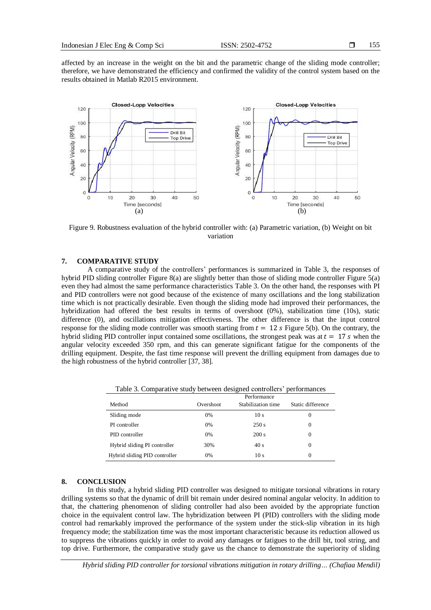affected by an increase in the weight on the bit and the parametric change of the sliding mode controller; therefore, we have demonstrated the efficiency and confirmed the validity of the control system based on the results obtained in Matlab R2015 environment.



Figure 9. Robustness evaluation of the hybrid controller with: (a) Parametric variation, (b) Weight on bit variation

# **7. COMPARATIVE STUDY**

A comparative study of the controllers' performances is summarized in Table 3, the responses of hybrid PID sliding controller Figure 8(a) are slightly better than those of sliding mode controller Figure 5(a) even they had almost the same performance characteristics Table 3. On the other hand, the responses with PI and PID controllers were not good because of the existence of many oscillations and the long stabilization time which is not practically desirable. Even though the sliding mode had improved their performances, the hybridization had offered the best results in terms of overshoot (0%), stabilization time (10s), static difference (0), and oscillations mitigation effectiveness. The other difference is that the input control response for the sliding mode controller was smooth starting from  $t = 12$  s Figure 5(b). On the contrary, the hybrid sliding PID controller input contained some oscillations, the strongest peak was at  $t = 17$  s when the angular velocity exceeded 350 rpm, and this can generate significant fatigue for the components of the drilling equipment. Despite, the fast time response will prevent the drilling equipment from damages due to the high robustness of the hybrid controller [37, 38].

| Table 5. Comparative study between designed controllers performances |           |                    |                   |  |  |
|----------------------------------------------------------------------|-----------|--------------------|-------------------|--|--|
|                                                                      |           | Performance        |                   |  |  |
| Method                                                               | Overshoot | Stabilization time | Static difference |  |  |
| Sliding mode                                                         | 0%        | 10 <sub>s</sub>    | 0                 |  |  |
| PI controller                                                        | 0%        | 250 s              | 0                 |  |  |
| PID controller                                                       | $0\%$     | 200 s              | 0                 |  |  |
| Hybrid sliding PI controller                                         | 30%       | 40 s               | 0                 |  |  |
| Hybrid sliding PID controller                                        | $0\%$     | 10 <sub>s</sub>    | 0                 |  |  |

Table 3. Comparative study between designed controllers' performances

#### **8. CONCLUSION**

In this study, a hybrid sliding PID controller was designed to mitigate torsional vibrations in rotary drilling systems so that the dynamic of drill bit remain under desired nominal angular velocity. In addition to that, the chattering phenomenon of sliding controller had also been avoided by the appropriate function choice in the equivalent control law. The hybridization between PI (PID) controllers with the sliding mode control had remarkably improved the performance of the system under the stick-slip vibration in its high frequency mode; the stabilization time was the most important characteristic because its reduction allowed us to suppress the vibrations quickly in order to avoid any damages or fatigues to the drill bit, tool string, and top drive. Furthermore, the comparative study gave us the chance to demonstrate the superiority of sliding

*Hybrid sliding PID controller for torsional vibrations mitigation in rotary drilling… (Chafiaa Mendil)*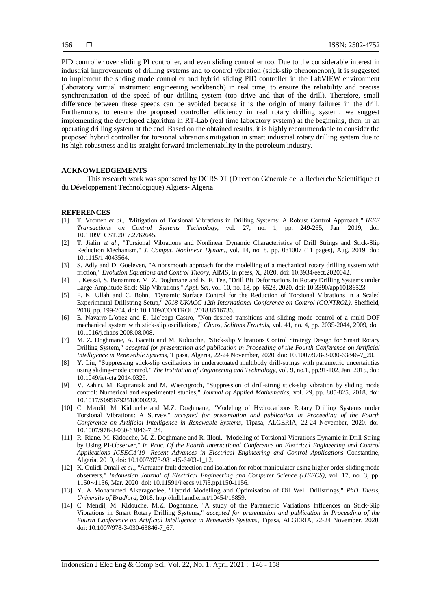PID controller over sliding PI controller, and even sliding controller too. Due to the considerable interest in industrial improvements of drilling systems and to control vibration (stick-slip phenomenon), it is suggested to implement the sliding mode controller and hybrid sliding PID controller in the LabVIEW environment (laboratory virtual instrument engineering workbench) in real time, to ensure the reliability and precise synchronization of the speed of our drilling system (top drive and that of the drill). Therefore, small difference between these speeds can be avoided because it is the origin of many failures in the drill. Furthermore, to ensure the proposed controller efficiency in real rotary drilling system, we suggest implementing the developed algorithm in RT-Lab (real time laboratory system) at the beginning, then, in an operating drilling system at the end. Based on the obtained results, it is highly recommendable to consider the proposed hybrid controller for torsional vibrations mitigation in smart industrial rotary drilling system due to its high robustness and its straight forward implementability in the petroleum industry.

# **ACKNOWLEDGEMENTS**

This research work was sponsored by DGRSDT (Direction Générale de la Recherche Scientifique et du Développement Technologique) Algiers- Algeria.

#### **REFERENCES**

- [1] T. Vromen *et al*., "Mitigation of Torsional Vibrations in Drilling Systems: A Robust Control Approach," *IEEE Transactions on Control Systems Technology*, vol. 27, no. 1, pp. 249-265, Jan. 2019, doi: 10.1109/TCST.2017.2762645.
- [2] T. Jialin *et al*., "Torsional Vibrations and Nonlinear Dynamic Characteristics of Drill Strings and Stick-Slip Reduction Mechanism," *J. Comput. Nonlinear Dynam*., vol. 14, no. 8, pp. 081007 (11 pages), Aug. 2019, doi: 10.1115/1.4043564.
- [3] S. Adly and D. Goeleven, "A nonsmooth approach for the modelling of a mechanical rotary drilling system with friction," *Evolution Equations and Control Theory*, AIMS, In press, X, 2020, doi: 10.3934/eect.2020042.
- [4] I. Kessai, S. Benammar, M. Z. Doghmane and K. F. Tee, "Drill Bit Deformations in Rotary Drilling Systems under Large-Amplitude Stick-Slip Vibrations," *Appl. Sci*, vol. 10, no. 18, pp. 6523, 2020, doi: 10.3390/app10186523.
- [5] F. K. Ullah and C. Bohn, "Dynamic Surface Control for the Reduction of Torsional Vibrations in a Scaled Experimental Drillstring Setup," *2018 UKACC 12th International Conference on Control (CONTROL)*, Sheffield, 2018, pp. 199-204, doi: 10.1109/CONTROL.2018.8516736.
- [6] E. Navarro-L´opez and E. Lic´eaga-Castro, "Non-desired transitions and sliding mode control of a multi-DOF mechanical system with stick-slip oscillations," *Chaos, Solitons Fractals*, vol. 41, no. 4, pp. 2035-2044, 2009, doi: 10.1016/j.chaos.2008.08.008.
- [7] M. Z. Doghmane, A. Bacetti and M. Kidouche, "Stick-slip Vibrations Control Strategy Design for Smart Rotary Drilling System," *accepted for presentation and publication in Proceeding of the Fourth Conference on Artificial Intelligence in Renewable Systems*, Tipasa, Algeria, 22-24 November, 2020. doi: 10.1007/978-3-030-63846-7\_20.
- [8] Y. Liu, "Suppressing stick-slip oscillations in underactuated multibody drill-strings with parametric uncertainties using sliding-mode control," *The Institution of Engineering and Technology*, vol. 9, no.1, pp.91-102, Jan. 2015, doi: 10.1049/iet-cta.2014.0329.
- [9] V. Zahiri, M. Kapitaniak and M. Wiercigroch, "Suppression of drill-string stick-slip vibration by sliding mode control: Numerical and experimental studies," *Journal of Applied Mathematics*, vol. 29, pp. 805-825, 2018, doi: 10.1017/S0956792518000232.
- [10] C. Mendil, M. Kidouche and M.Z. Doghmane, "Modeling of Hydrocarbons Rotary Drilling Systems under Torsional Vibrations: A Survey," *accepted for presentation and publication in Proceeding of the Fourth Conference on Artificial Intelligence in Renewable Systems*, Tipasa, ALGERIA, 22-24 November, 2020. doi: 10.1007/978-3-030-63846-7\_24.
- [11] R. Riane, M. Kidouche, M. Z. Doghmane and R. Illoul, "Modeling of Torsional Vibrations Dynamic in Drill-String by Using PI-Observer," *In Proc. Of the Fourth International Conference on Electrical Engineering and Control Applications ICEECA'19- Recent Advances in Electrical Engineering and Control Applications* Constantine, Algeria, 2019, doi[: 10.1007/978-981-15-6403-1\\_12.](https://www.researchgate.net/deref/http%3A%2F%2Fdx.doi.org%2F10.1007%2F978-981-15-6403-1_12)
- [12] K. Oulidi Omali *et al.*, "Actuator fault detection and isolation for robot manipulator using higher order sliding mode observers," *Indonesian Journal of Electrical Engineering and Computer Science (IJEECS)*, vol. 17, no. 3, pp. 1150∼1156, Mar. 2020. doi: 10.11591/ijeecs.v17i3.pp1150-1156.
- [13] Y. A Mohammed Alkaragoolee, "Hybrid Modelling and Optimisation of Oil Well Drillstrings," *PhD Thesis, University of Bradford*, 2018. http://hdl.handle.net/10454/16859.
- [14] C. Mendil, M. Kidouche, M.Z. Doghmane, "A study of the Parametric Variations Influences on Stick-Slip Vibrations in Smart Rotary Drilling Systems," *accepted for presentation and publication in Proceeding of the Fourth Conference on Artificial Intelligence in Renewable Systems*, Tipasa, ALGERIA, 22-24 November, 2020. doi: 10.1007/978-3-030-63846-7\_67.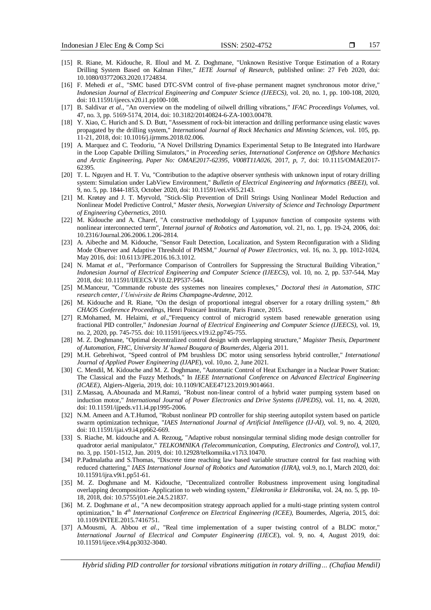- [15] R. Riane, M. Kidouche, R. Illoul and M. Z. Doghmane, "Unknown Resistive Torque Estimation of a Rotary Drilling System Based on Kalman Filter," *IETE Journal of Research*, published online: 27 Feb 2020, doi: 10.1080/03772063.2020.1724834.
- [16] F. Mehedi *et al.*, "SMC based DTC-SVM control of five-phase permanent magnet synchronous motor drive," *Indonesian Journal of Electrical Engineering and Computer Science (IJEECS)*, vol. 20, no. 1, pp. 100-108, 2020, doi: 10.11591/ijeecs.v20.i1.pp100-108.
- [17] B. Saldivar *et al.*, "An overview on the modeling of oilwell drilling vibrations," *IFAC Proceedings Volumes*, vol. 47, no. 3, pp. 5169-5174, 2014, [doi: 10.3182/20140824-6-ZA-1003.00478.](https://doi.org/10.3182/20140824-6-ZA-1003.00478)
- [18] Y. Xiao, C. Hurich and S. D. Butt, "Assessment of rock-bit interaction and drilling performance using elastic waves propagated by the drilling system," *International Journal of Rock Mechanics and Minning Sciences*, vol. 105, pp. 11-21, 2018, [doi: 10.1016/j.ijrmms.2018.02.006.](https://doi.org/10.1016/j.ijrmms.2018.02.006)
- [19] A. Marquez and C. Teodoriu, "A Novel Drillstring Dynamics Experimental Setup to Be Integrated into Hardware in the Loop Capable Drilling Simulators," in *Proceeding series, International Conference on Offshore Mechanics and Arctic Engineering, Paper No: OMAE2017-62395, V008T11A026,* 2017, *p, 7*, doi: 10.1115/OMAE2017- 62395.
- [20] T. L. Nguyen and H. T. Vu, "Contribution to the adaptive observer synthesis with unknown input of rotary drilling system: Simulation under LabView Environment," *Bulletin of Electrical Engineering and Informatics (BEEI)*, vol. 9, no. 5, pp. 1844-1853, October 2020, doi: 10.11591/eei.v9i5.2143.
- [21] M. Krøtøy and J. T. Myrvold, "Stick-Slip Prevention of Drill Strings Using Nonlinear Model Reduction and Nonlinear Model Predictive Control," *Master thesis, Norwegian University of Science and Technology Department of Engineering Cybernetics*, 2010.
- [22] M. Kidouche and A. Charef, "A constructive methodology of Lyapunov function of composite systems with nonlinear interconnected term", *Internal journal of Robotics and Automation*, vol. 21, no. 1, pp. 19-24, 2006, doi: 10.2316/Journal.206.2006.1.206-2814.
- [23] A. Aibeche and M. Kidouche, "Sensor Fault Detection, Localization, and System Reconfiguration with a Sliding Mode Observer and Adaptive Threshold of PMSM," *Journal of Power Electronics*, vol. 16, no. 3, pp. 1012-1024, May 2016, doi: 10.6113/JPE.2016.16.3.1012.
- [24] N. Mamat *et al.*, "Performance Comparison of Controllers for Suppressing the Structural Building Vibration," *Indonesian Journal of Electrical Engineering and Computer Science (IJEECS)*, vol. 10, no. 2, pp. 537-544, May 2018, doi: 10.11591/IJEECS.V10.I2.PP537-544.
- [25] M.Manceur, "Commande robuste des systemes non lineaires complexes," *Doctoral thesi in Automation, STIC research center, l'Univérsite de Reims Champagne-Ardenne*, 2012.
- [26] M. Kidouche and R. Riane, "On the design of proportional integral observer for a rotary drilling system," *8th CHAOS Conference Proceedings*, Henri Poincaré Institute, Paris France, 2015.
- [27] R.Mohamed, M. Helaimi, *et al*.,"Frequency control of microgrid system based renewable generation using fractional PID controller," *Indonesian Journal of Electrical Engineering and Computer Science (IJEECS)*, vol. 19, no. 2, 2020, pp. 745-755. doi: 10.11591/ijeecs.v19.i2.pp745-755.
- [28] M. Z. Doghmane, "Optimal decentralized control design with overlapping structure," *Magister Thesis, Department of Automation, FHC, University M'hamed Bougara of Boumerdes*, Algeria 2011.
- [29] M.H. Gebrehiwot, "Speed control of PM brushless DC motor using sensorless hybrid controller," *International Journal of Applied Power Engineering (IJAPE*), [vol. 10,no. 2, June 2021.](file:///C:/Users/IAES%2021/Downloads/vol.%2010,no.%202,%20June.2021)
- [30] C. Mendil, M. Kidouche and M. Z. Doghmane, "Automatic Control of Heat Exchanger in a Nuclear Power Station: The Classical and the Fuzzy Methods," In *IEEE International Conference on Advanced Electrical Engineering (ICAEE)*, Algiers-Algeria, 2019, doi: 10.1109/ICAEE47123.2019.9014661.
- [31] Z.Massaq, A.Abounada and M.Ramzi, "Robust non-linear control of a hybrid water pumping system based on induction motor," *International Journal of Power Electronics and Drive Systems (IJPEDS),* vol. 11, no. 4, 2020, doi: 10.11591/ijpeds.v11.i4.pp1995-2006*.*
- [32] N.M. Ameen and A.T.Humod, "Robust nonlinear PD controller for ship steering autopilot system based on particle swarm optimization technique, "*IAES International Journal of Artificial Intelligence (IJ-AI),* vol. 9, no. 4, 2020, doi[: 10.11591/ijai.v9.i4.pp662-669.](https://www.researchgate.net/deref/http%3A%2F%2Fdx.doi.org%2F10.11591%2Fijai.v9.i4.pp662-669)
- [33] S. Riache, M. kidouche and A. Rezoug, "Adaptive robust nonsingular terminal sliding mode design controller for quadrotor aerial manipulator," *TELKOMNIKA (Telecommunication, Computing, Electronics and Control)*, vol.17, no. 3, pp. 1501-1512, Jun. 2019, doi: 10.12928/telkomnika.v17i3.10470.
- [34] P.Padmalatha and S.Thomas, "Discrete time reaching law based variable structure control for fast reaching with reduced chattering," *IAES International Journal of Robotics and Automation (IJRA)*, vol.9, no.1, [March 2020,](file:///C:/Users/pc/Downloads/vol.9,%20no.1,%20March.2020) doi: [10.11591/ijra.v9i1.pp51-61.](https://www.researchgate.net/deref/http%3A%2F%2Fdx.doi.org%2F10.11591%2Fijra.v9i1.pp51-61)
- [35] M. Z. Doghmane and M. Kidouche, "Decentralized controller Robustness improvement using longitudinal overlapping decomposition- Application to web winding system," *Elektronika ir Elektronika*, vol. 24, no. 5, pp. 10- 18, 2018, doi: 10.5755/j01.eie.24.5.21837.
- [36] M. Z. Doghmane *et al.*, "A new decomposition strategy approach applied for a multi-stage printing system control optimization," In *4 th International Conference on Electrical Engineering (ICEE),* Boumerdes, Algeria, 2015, doi: 10.1109/INTEE.2015.7416751.
- [37] A.Mousmi, A. Abbou *et al*., "Real time implementation of a super twisting control of a BLDC motor," *International Journal of Electrical and Computer Engineering (IJECE*), [vol. 9, no. 4, August 2019,](file:///C:/Users/IAES%2021/Downloads/vol.%209,%20no.%204,%20August%202019) doi: 10.11591/ijece.v9i4.pp3032-3040.